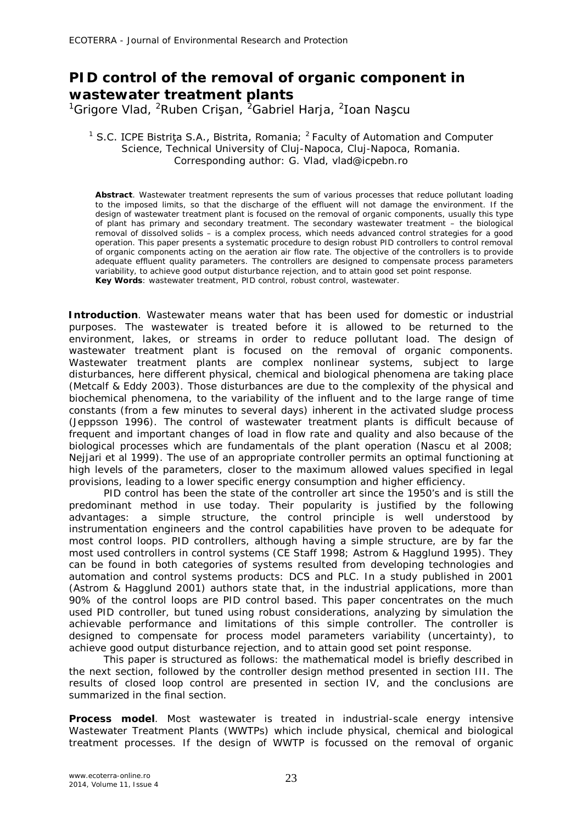## **PID control of the removal of organic component in wastewater treatment plants**

<sup>1</sup>Grigore Vlad, <sup>2</sup>Ruben Crişan, <sup>2</sup>Gabriel Harja, <sup>2</sup>Ioan Naşcu

## <sup>1</sup> S.C. ICPE Bistriţa S.A., Bistrita, Romania; <sup>2</sup> Faculty of Automation and Computer Science, Technical University of Cluj-Napoca, Cluj-Napoca, Romania. Corresponding author: G. Vlad, vlad@icpebn.ro

**Abstract**. Wastewater treatment represents the sum of various processes that reduce pollutant loading to the imposed limits, so that the discharge of the effluent will not damage the environment. If the design of wastewater treatment plant is focused on the removal of organic components, usually this type of plant has primary and secondary treatment. The secondary wastewater treatment – the biological removal of dissolved solids – is a complex process, which needs advanced control strategies for a good operation. This paper presents a systematic procedure to design robust PID controllers to control removal of organic components acting on the aeration air flow rate. The objective of the controllers is to provide adequate effluent quality parameters. The controllers are designed to compensate process parameters variability, to achieve good output disturbance rejection, and to attain good set point response. **Key Words**: wastewater treatment, PID control, robust control, wastewater.

**Introduction**. Wastewater means water that has been used for domestic or industrial purposes. The wastewater is treated before it is allowed to be returned to the environment, lakes, or streams in order to reduce pollutant load. The design of wastewater treatment plant is focused on the removal of organic components. Wastewater treatment plants are complex nonlinear systems, subject to large disturbances, here different physical, chemical and biological phenomena are taking place (Metcalf & Eddy 2003). Those disturbances are due to the complexity of the physical and biochemical phenomena, to the variability of the influent and to the large range of time constants (from a few minutes to several days) inherent in the activated sludge process (Jeppsson 1996). The control of wastewater treatment plants is difficult because of frequent and important changes of load in flow rate and quality and also because of the biological processes which are fundamentals of the plant operation (Nascu et al 2008; Nejjari et al 1999). The use of an appropriate controller permits an optimal functioning at high levels of the parameters, closer to the maximum allowed values specified in legal provisions, leading to a lower specific energy consumption and higher efficiency.

PID control has been the state of the controller art since the 1950's and is still the predominant method in use today. Their popularity is justified by the following advantages: a simple structure, the control principle is well understood by instrumentation engineers and the control capabilities have proven to be adequate for most control loops. PID controllers, although having a simple structure, are by far the most used controllers in control systems (CE Staff 1998; Astrom & Hagglund 1995). They can be found in both categories of systems resulted from developing technologies and automation and control systems products: DCS and PLC. In a study published in 2001 (Astrom & Hagglund 2001) authors state that, in the industrial applications, more than 90% of the control loops are PID control based. This paper concentrates on the much used PID controller, but tuned using robust considerations, analyzing by simulation the achievable performance and limitations of this simple controller. The controller is designed to compensate for process model parameters variability (uncertainty), to achieve good output disturbance rejection, and to attain good set point response.

This paper is structured as follows: the mathematical model is briefly described in the next section, followed by the controller design method presented in section III. The results of closed loop control are presented in section IV, and the conclusions are summarized in the final section.

**Process model**. Most wastewater is treated in industrial-scale energy intensive Wastewater Treatment Plants (WWTPs) which include physical, chemical and biological treatment processes. If the design of WWTP is focussed on the removal of organic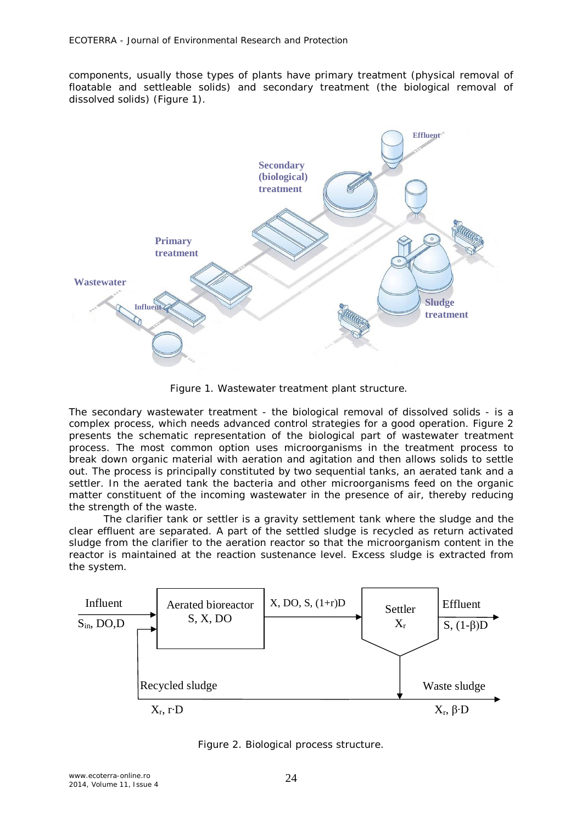components, usually those types of plants have primary treatment (physical removal of floatable and settleable solids) and secondary treatment (the biological removal of dissolved solids) (Figure 1).



Figure 1. Wastewater treatment plant structure.

The secondary wastewater treatment - the biological removal of dissolved solids - is a complex process, which needs advanced control strategies for a good operation. Figure 2 presents the schematic representation of the biological part of wastewater treatment process. The most common option uses microorganisms in the treatment process to break down organic material with aeration and agitation and then allows solids to settle out. The process is principally constituted by two sequential tanks, an aerated tank and a settler. In the aerated tank the bacteria and other microorganisms feed on the organic matter constituent of the incoming wastewater in the presence of air, thereby reducing the strength of the waste.

The clarifier tank or settler is a gravity settlement tank where the sludge and the clear effluent are separated. A part of the settled sludge is recycled as return activated sludge from the clarifier to the aeration reactor so that the microorganism content in the reactor is maintained at the reaction sustenance level. Excess sludge is extracted from the system.



Figure 2. Biological process structure.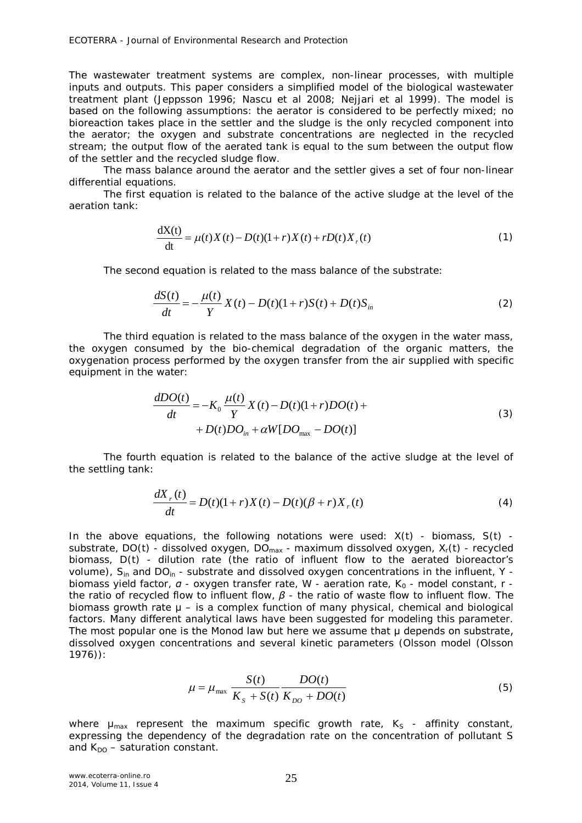The wastewater treatment systems are complex, non-linear processes, with multiple inputs and outputs. This paper considers a simplified model of the biological wastewater treatment plant (Jeppsson 1996; Nascu et al 2008; Nejjari et al 1999). The model is based on the following assumptions: the aerator is considered to be perfectly mixed; no bioreaction takes place in the settler and the sludge is the only recycled component into the aerator; the oxygen and substrate concentrations are neglected in the recycled stream; the output flow of the aerated tank is equal to the sum between the output flow of the settler and the recycled sludge flow.

The mass balance around the aerator and the settler gives a set of four non-linear differential equations.

The first equation is related to the balance of the active sludge at the level of the aeration tank:

$$
\frac{dX(t)}{dt} = \mu(t)X(t) - D(t)(1+r)X(t) + rD(t)X_r(t)
$$
\n(1)

The second equation is related to the mass balance of the substrate:

$$
\frac{dS(t)}{dt} = -\frac{\mu(t)}{Y}X(t) - D(t)(1+r)S(t) + D(t)S_{in}
$$
\n(2)

The third equation is related to the mass balance of the oxygen in the water mass, the oxygen consumed by the bio-chemical degradation of the organic matters, the oxygenation process performed by the oxygen transfer from the air supplied with specific equipment in the water:

$$
\frac{dDO(t)}{dt} = -K_0 \frac{\mu(t)}{Y} X(t) - D(t)(1+r) DO(t) ++ D(t) DO_{in} + \alpha W[DO_{max} - DO(t)]
$$
\n(3)

The fourth equation is related to the balance of the active sludge at the level of the settling tank:

$$
\frac{dX_{r}(t)}{dt} = D(t)(1+r)X(t) - D(t)(\beta + r)X_{r}(t)
$$
\n(4)

In the above equations, the following notations were used: *X*(*t*) - biomass, *S*(*t*) substrate, *DO*(*t*) - dissolved oxygen, *DOmax* - maximum dissolved oxygen, *Xr*(*t*) - recycled biomass, *D*(*t*) - dilution rate (the ratio of influent flow to the aerated bioreactor's volume), *Sin* and *DOin* - substrate and dissolved oxygen concentrations in the influent, *Y*  biomass yield factor, *α* - oxygen transfer rate, *W* - aeration rate, *K<sup>0</sup>* - model constant, *r*  the ratio of recycled flow to influent flow, *β* - the ratio of waste flow to influent flow. The biomass growth rate  $\mu$  – is a complex function of many physical, chemical and biological factors. Many different analytical laws have been suggested for modeling this parameter. The most popular one is the Monod law but here we assume that μ depends on substrate, dissolved oxygen concentrations and several kinetic parameters (Olsson model (Olsson 1976)):

$$
\mu = \mu_{\text{max}} \frac{S(t)}{K_s + S(t)} \frac{DO(t)}{K_{DO} + DO(t)} \tag{5}
$$

where  $\mu_{max}$  represent the maximum specific growth rate,  $K_s$  - affinity constant, expressing the dependency of the degradation rate on the concentration of pollutant *S*  and  $K_{DO}$  – saturation constant.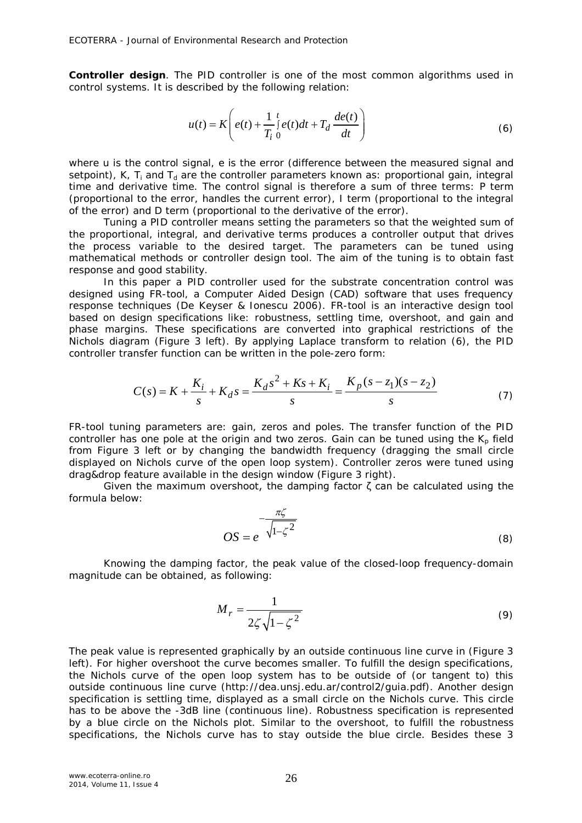**Controller design**. The PID controller is one of the most common algorithms used in control systems. It is described by the following relation:

$$
u(t) = K\left(e(t) + \frac{1}{T_i} \int_0^t e(t)dt + T_d \frac{de(t)}{dt}\right)
$$
\n(6)

where *u* is the control signal, *e* is the error (difference between the measured signal and setpoint), *K*,  $T_i$  and  $T_d$  are the controller parameters known as: proportional gain, integral time and derivative time. The control signal is therefore a sum of three terms: P term (proportional to the error, handles the current error), I term (proportional to the integral of the error) and D term (proportional to the derivative of the error).

Tuning a PID controller means setting the parameters so that the weighted sum of the proportional, integral, and derivative terms produces a controller output that drives the process variable to the desired target. The parameters can be tuned using mathematical methods or controller design tool. The aim of the tuning is to obtain fast response and good stability.

In this paper a PID controller used for the substrate concentration control was designed using FR-tool, a Computer Aided Design (CAD) software that uses frequency response techniques (De Keyser & Ionescu 2006). FR-tool is an interactive design tool based on design specifications like: robustness, settling time, overshoot, and gain and phase margins. These specifications are converted into graphical restrictions of the Nichols diagram (Figure 3 left). By applying Laplace transform to relation (6), the PID controller transfer function can be written in the pole-zero form:

$$
C(s) = K + \frac{K_i}{s} + K_d s = \frac{K_d s^2 + Ks + K_i}{s} = \frac{K_p (s - z_1)(s - z_2)}{s}
$$
(7)

FR-tool tuning parameters are: gain, zeros and poles. The transfer function of the PID controller has one pole at the origin and two zeros. Gain can be tuned using the *Kp* field from Figure 3 left or by changing the bandwidth frequency (dragging the small circle displayed on Nichols curve of the open loop system). Controller zeros were tuned using drag&drop feature available in the design window (Figure 3 right).

Given the maximum overshoot, the damping factor  $\zeta$  can be calculated using the formula below:

$$
OS = e^{-\frac{\pi\zeta}{\sqrt{1-\zeta^2}}}
$$
\n(8)

Knowing the damping factor, the peak value of the closed-loop frequency-domain magnitude can be obtained, as following:

$$
M_r = \frac{1}{2\zeta\sqrt{1-\zeta^2}}\tag{9}
$$

The peak value is represented graphically by an outside continuous line curve in (Figure 3 left). For higher overshoot the curve becomes smaller. To fulfill the design specifications, the Nichols curve of the open loop system has to be outside of (or tangent to) this outside continuous line curve (http://dea.unsj.edu.ar/control2/guia.pdf). Another design specification is settling time, displayed as a small circle on the Nichols curve. This circle has to be above the -3dB line (continuous line). Robustness specification is represented by a blue circle on the Nichols plot. Similar to the overshoot, to fulfill the robustness specifications, the Nichols curve has to stay outside the blue circle. Besides these 3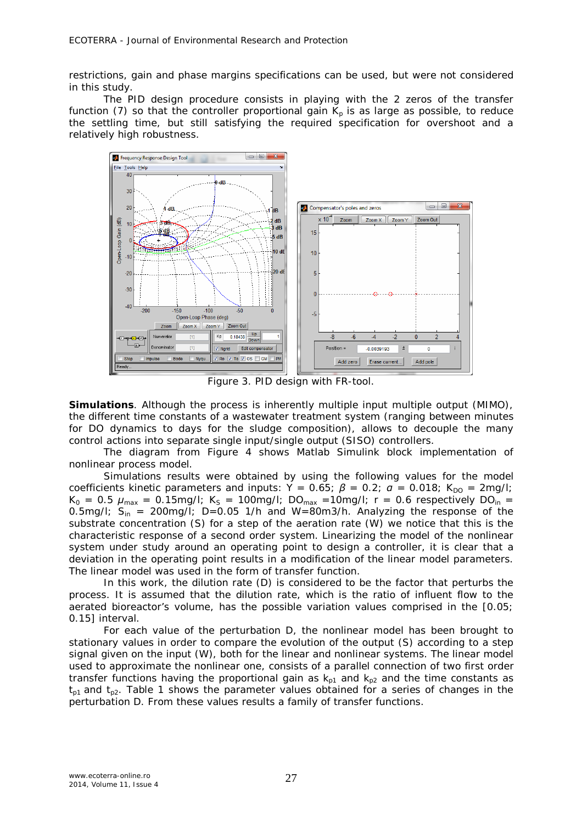restrictions, gain and phase margins specifications can be used, but were not considered in this study.

The PID design procedure consists in playing with the 2 zeros of the transfer function (7) so that the controller proportional gain  $K_p$  is as large as possible, to reduce the settling time, but still satisfying the required specification for overshoot and a relatively high robustness.



Figure 3. PID design with FR-tool.

**Simulations**. Although the process is inherently multiple input multiple output (MIMO), the different time constants of a wastewater treatment system (ranging between minutes for DO dynamics to days for the sludge composition), allows to decouple the many control actions into separate single input/single output (SISO) controllers.

The diagram from Figure 4 shows Matlab Simulink block implementation of nonlinear process model.

Simulations results were obtained by using the following values for the model coefficients kinetic parameters and inputs:  $\dot{Y} = 0.65$ ;  $\beta = 0.2$ ;  $a = 0.018$ ;  $K_{DO} = 2$ mg/l;  $K_0 = 0.5$   $\mu_{max} = 0.15$ mg/l;  $K_s = 100$ mg/l;  $DO_{max} = 10$ mg/l;  $r = 0.6$  respectively  $DO_{in} =$ 0.5mg/l;  $S_{in}$  = 200mg/l;  $D=0.05$  1/h and  $W=80$ m3/h. Analyzing the response of the substrate concentration (S) for a step of the aeration rate (*W*) we notice that this is the characteristic response of a second order system. Linearizing the model of the nonlinear system under study around an operating point to design a controller, it is clear that a deviation in the operating point results in a modification of the linear model parameters. The linear model was used in the form of transfer function.

In this work, the dilution rate (*D*) is considered to be the factor that perturbs the process. It is assumed that the dilution rate, which is the ratio of influent flow to the aerated bioreactor's volume, has the possible variation values comprised in the [0.05; 0.15] interval.

For each value of the perturbation *D*, the nonlinear model has been brought to stationary values in order to compare the evolution of the output (*S*) according to a step signal given on the input (*W*), both for the linear and nonlinear systems. The linear model used to approximate the nonlinear one, consists of a parallel connection of two first order transfer functions having the proportional gain as  $k_{p1}$  and  $k_{p2}$  and the time constants as *tp1* and *tp2*. Table 1 shows the parameter values obtained for a series of changes in the perturbation *D.* From these values results a family of transfer functions.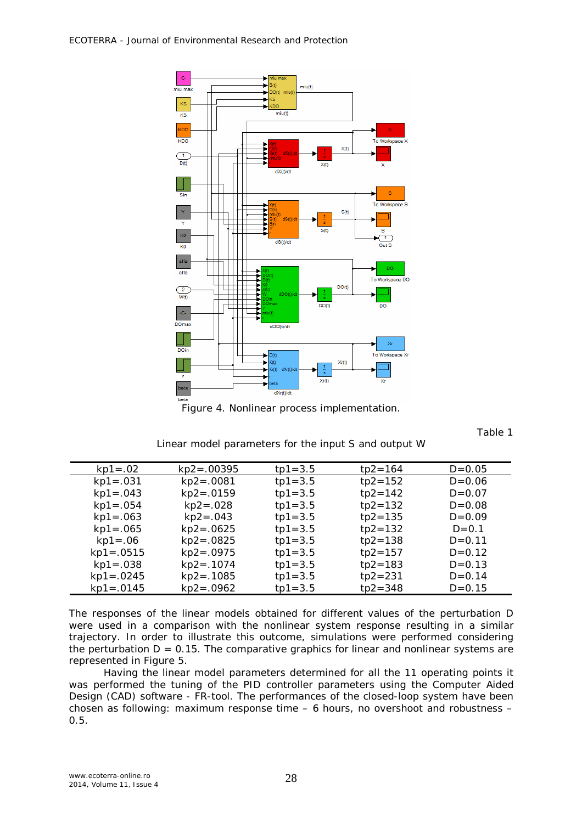

Figure 4. Nonlinear process implementation.

Table 1

## Linear model parameters for the input S and output W

| $kp1 = .02$   | $kp2 = .00395$ | $tp1 = 3.5$ | $tp2 = 164$ | $D = 0.05$ |
|---------------|----------------|-------------|-------------|------------|
| $kp1 = .031$  | $kp2 = .0081$  | $tp1 = 3.5$ | $tp2 = 152$ | $D = 0.06$ |
| $kp1 = .043$  | $kp2 = .0159$  | $tp1 = 3.5$ | $tp2 = 142$ | $D = 0.07$ |
| $kp1 = .054$  | $kp2 = .028$   | $tp1 = 3.5$ | $tp2 = 132$ | $D = 0.08$ |
| $kp1 = .063$  | $kp2 = .043$   | $tp1 = 3.5$ | $tp2 = 135$ | $D=0.09$   |
| $kp1 = .065$  | $kp2 = .0625$  | $tp1 = 3.5$ | $tp2 = 132$ | $D = 0.1$  |
| $kp1 = .06$   | $kp2 = .0825$  | $tp1 = 3.5$ | $tp2 = 138$ | $D = 0.11$ |
| $kp1 = .0515$ | $kp2 = .0975$  | $tp1 = 3.5$ | $tp2 = 157$ | $D = 0.12$ |
| $kp1 = .038$  | $kp2 = .1074$  | $tp1 = 3.5$ | $tp2 = 183$ | $D = 0.13$ |
| $kp1 = .0245$ | $kp2 = .1085$  | $tp1 = 3.5$ | $tp2 = 231$ | $D = 0.14$ |
| $kp1 = .0145$ | $kp2 = .0962$  | $tp1 = 3.5$ | $tp2 = 348$ | $D = 0.15$ |

The responses of the linear models obtained for different values of the perturbation *D* were used in a comparison with the nonlinear system response resulting in a similar trajectory. In order to illustrate this outcome, simulations were performed considering the perturbation  $D = 0.15$ . The comparative graphics for linear and nonlinear systems are represented in Figure 5.

Having the linear model parameters determined for all the 11 operating points it was performed the tuning of the PID controller parameters using the Computer Aided Design (CAD) software - FR-tool. The performances of the closed-loop system have been chosen as following: maximum response time – 6 hours, no overshoot and robustness – 0.5.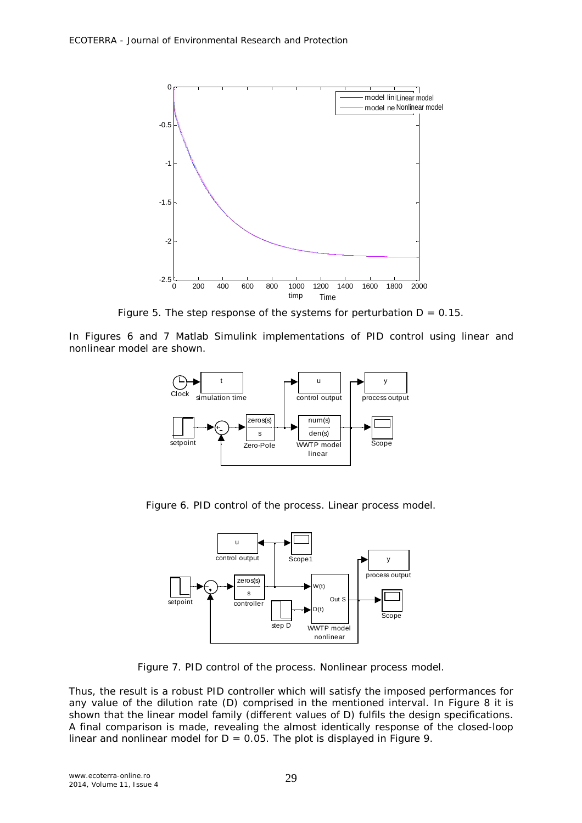

Figure 5. The step response of the systems for perturbation  $D = 0.15$ .

In Figures 6 and 7 Matlab Simulink implementations of PID control using linear and nonlinear model are shown.



Figure 6. PID control of the process. Linear process model.



Figure 7. PID control of the process. Nonlinear process model.

Thus, the result is a robust PID controller which will satisfy the imposed performances for any value of the dilution rate (*D*) comprised in the mentioned interval. In Figure 8 it is shown that the linear model family (different values of *D*) fulfils the design specifications. A final comparison is made, revealing the almost identically response of the closed-loop linear and nonlinear model for  $D = 0.05$ . The plot is displayed in Figure 9.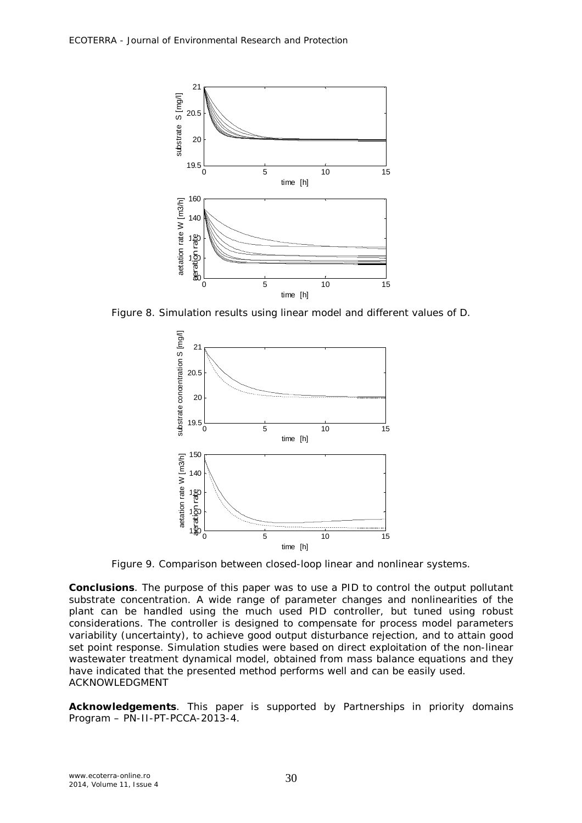

Figure 8. Simulation results using linear model and different values of D.



Figure 9. Comparison between closed-loop linear and nonlinear systems.

**Conclusions**. The purpose of this paper was to use a PID to control the output pollutant substrate concentration. A wide range of parameter changes and nonlinearities of the plant can be handled using the much used PID controller, but tuned using robust considerations. The controller is designed to compensate for process model parameters variability (uncertainty), to achieve good output disturbance rejection, and to attain good set point response. Simulation studies were based on direct exploitation of the non-linear wastewater treatment dynamical model, obtained from mass balance equations and they have indicated that the presented method performs well and can be easily used. ACKNOWLEDGMENT Figure 8. Simulation result<br>
Figure 8. Simulation result<br>  $\frac{5}{10}$ <br>  $\frac{5}{10}$ <br>  $\frac{5}{10}$ <br>  $\frac{5}{10}$ <br>  $\frac{5}{10}$ <br>  $\frac{5}{10}$ <br>  $\frac{5}{10}$ <br>  $\frac{5}{10}$ <br>  $\frac{5}{10}$ <br>  $\frac{5}{10}$ <br>  $\frac{5}{10}$ <br>  $\frac{5}{10}$ <br>  $\frac{5}{10}$ <br>  $\frac{5}{1$ 

**Acknowledgements**. This paper is supported by Partnerships in priority domains